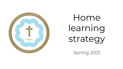

Home learning strategy

Spring 2021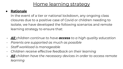## Home learning strategy

#### ● **Rationale**

In the event of a tier or national lockdown, any ongoing class closures due to a positive case of Covid or children needing to isolate, we have developed the following scenarios and remote learning strategy to ensure that:

- *- All children continue to have access to a high quality education*
- *- Parents are supported as much as possible*
- *- Staff workload is manageable*
- *- Children receive effective feedback on their learning*
- *- All children have the necessary devices in order to access remote learning*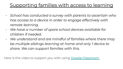# Supporting families with access to learning

- *- School has conducted a survey with parents to ascertain who has access to a device in order to engage effectively with remote learning.*
- *- We have a number of spare school devices available for children if needed.*
- *- We understand and are mindful of families where there may be multiple siblings learning at home and only 1 device to share. We can support families with this.*

Here is the video to support you with using [Google Classroom.](https://www.youtube.com/watch?v=9eL4Deb5OME&feature=youtu.be)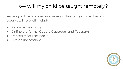# How will my child be taught remotely?

Learning will be provided in a variety of teaching approaches and resources. These will include

- Recorded teaching
- Online platforms (Google Classroom and Tapestry)
- Printed resources packs
- Live online sessions

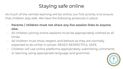# Staying safe online

As much of the remote learning will be online, our first priority is to ensure that children stay safe. We have the following protocols in place:

- **Parents / children must not share any live session links to anyone else.**
- All children joining online sessions must be appropriately clothed at all times.
- All children must show respect and behave as they are normally expected to do whilst in school. READY RESPECTFUL SAFE.
- Children will use online platforms appropriately, submitting comments or learning using appropriate language and grammar.

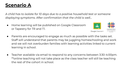### **Scenario A**

*A child has to isolate for 10 days due to a positive household test or someone displaying symptoms. After confirmation that the child is well...*

● Home learning will be published on Google Classroom or Tapestry for TR and T1.



- Parents are encouraged to engage as much as possible with the tasks set. Staff will understand that parents may be juggling homeschooling and work and we will not overburden families with learning activities linked to current learning in school.
- Teacher available via email to respond to any concerns between 3:30-4:00pm. \*\*online teaching will not take place as the class teacher will still be teaching the rest of the cohort in school.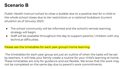### **Scenario B**

*Public Health instruct school to close a bubble due to a positive test for a child or the whole school closes due to tier restrictions or a national lockdown (current situation as of January 2021)*

- The school community will be informed and the school's remote learning strategy will begin.
- Staff will be available throughout the day to support parents / children with any technical difficulties.

#### Please see the timetables for each year group's home learning.

 The timetables for each year group are just an outline of when the tasks will be set by teachers. It will help your family create a routine for your child's learning at home. These timetables are only for guidance and are flexible. We know that the work may not be completed on the same day due to parent's work commitments.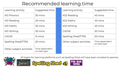# Recommended learning time

| Learning activity        | Suggested time                 | Learning activity         | Suggested time                 |
|--------------------------|--------------------------------|---------------------------|--------------------------------|
| <b>KSI Phonics</b>       | 30 mins                        | KS2 Reading               | 45 mins                        |
| <b>KSI Reading</b>       | 20 mins                        | <b>KS2 Maths</b>          | 45 mins                        |
| <b>KSI Maths</b>         | 30 mins                        | <b>KS2 Writing</b>        | 45 mins                        |
| <b>KSI Writing</b>       | 30 mins                        | <b>CAOW</b>               | 20 mins                        |
| <b>CAOW</b>              | 15 mins                        | <b>Spelling Shed/TTRS</b> | 20 mins                        |
| Spelling Shed/TTRS       | 20 mins                        | Other subject activities  | Time dependent<br>on task type |
| Other subject activities | Time dependent<br>on task type |                           |                                |



All logins for learning platforms such as Spelling Shed will have been emailed to parents.



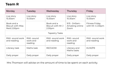### **Team R**

| Monday                                                | Tuesday                          | Wednesday                                             | Thursday                                     | Friday                             |  |  |
|-------------------------------------------------------|----------------------------------|-------------------------------------------------------|----------------------------------------------|------------------------------------|--|--|
| Live story<br>10.30am                                 | Live story<br>10.30am            | Live story<br>10.30am                                 | Live story<br>10.30am                        | Live story<br>10.30am              |  |  |
| Book and a<br><b>Biscuit with Miss</b><br>Reid 2.00pm |                                  | Book and a<br>Biscuit with Mr J<br>2.00 <sub>pm</sub> | $9:15 - 9:45$ am -<br>AmaSing online<br>Zoom | Fitness Friday<br>with Mr J 2.30pm |  |  |
| Tapestry Tasks                                        |                                  |                                                       |                                              |                                    |  |  |
| RWI- sound work<br>and reading                        | RWI-sound<br>work and<br>reading | RWI- sound work<br>and reading                        | RWI-sound<br>work and<br>reading             | RWI- sound work<br>and reading     |  |  |
| Literacy task                                         | Maths task                       | <b>RE/CAOW</b>                                        | Literacy and<br>Maths tasks                  | KUW/PE                             |  |  |
| Daily prayer                                          | Daily prayer                     | Daily prayer                                          | Daily prayer                                 | Daily prayer                       |  |  |

Mrs Thomson will advise on the amount of time to be spent on each activity.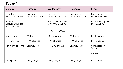| Monday                                                | Tuesday                             | Wednesday                              | Thursday                            | Friday                              |  |  |
|-------------------------------------------------------|-------------------------------------|----------------------------------------|-------------------------------------|-------------------------------------|--|--|
| Live story $/$<br>registration 10am                   | Live story $/$<br>registration 10am | Live story $/$<br>registration 10am    | Live story $/$<br>registration 10am | Live story $/$<br>registration 10am |  |  |
| Book and a<br><b>Biscuit with Miss</b><br>Reid 2.00pm |                                     | Book and a Biscuit<br>with Mr J 2.00pm |                                     | Fitness Friday with<br>Mr J 2.30pm  |  |  |
| <b>Tapestry Tasks</b>                                 |                                     |                                        |                                     |                                     |  |  |
| Maths video                                           | Maths task                          | Maths Video                            | Maths task                          | Maths video                         |  |  |
| RWI phonics                                           | RWI phonics                         | RWI phonics                            | RWI phonics                         | RWI phonics                         |  |  |
| Pathways to Write                                     | Literacy task                       | Pathways to Write                      | Literacy task                       | Connector or<br>Science             |  |  |
|                                                       |                                     |                                        |                                     | <b>CAOW</b>                         |  |  |
| Daily prayer                                          | Daily prayer                        | Daily prayer                           | Daily prayer                        | Daily prayer                        |  |  |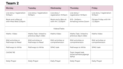| Monday                                      | Tuesday                                      | Wednesday                              | Thursday                                            | Friday                               |
|---------------------------------------------|----------------------------------------------|----------------------------------------|-----------------------------------------------------|--------------------------------------|
| Live story / registration<br>10:15am        | Live story / registration<br>10:15am         | Live story $/$<br>registration 10:15am | Live story $/$<br>registration 10:15am              | Live story / registration<br>10:15am |
| Book and a Biscuit<br>with Miss Reid 2.00pm |                                              | Book and a Biscuit<br>with Mr J 2.00pm | $9:15 - 9:45$ am -<br>AmaSing online Zoom           | Fitness Friday with Mr<br>J 2.30pm   |
|                                             |                                              | Videos/Tasks                           |                                                     |                                      |
| Maths Video                                 | Maths Task linked to<br>previous day's video | Maths Video                            | Maths Task linked to<br>previous day's video        | Maths Video                          |
| RWI activities or<br>Pathways to Read       | RWI activities or<br>Pathways to Read        | RWI activities or<br>comprehension     | RWI activities or<br>comprehension                  | RWI activities or<br>comprehension   |
| Pathways to Write                           | Pathways to Write                            | <b>SPAG</b> task                       | Pathways to Write                                   | SPAG task                            |
| CAOW/RE                                     |                                              |                                        | Topic based task<br>(science/history/geogr<br>aphy) |                                      |
| Daily Prayer                                | Daily Prayer                                 | Daily Prayer                           | Daily Prayer                                        | Daily Prayer                         |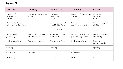| Monday                                      | Tuesday                                         | Wednesday                                | Thursday                                        | Friday                                               |  |
|---------------------------------------------|-------------------------------------------------|------------------------------------------|-------------------------------------------------|------------------------------------------------------|--|
| Live story $/$<br>registration<br>1.30pm    | Live story / registration<br>1.30 <sub>pm</sub> | Live story $/$<br>registration<br>1.30pm | Live story / registration<br>1.30 <sub>pm</sub> | Live story $/$<br>registration<br>1.30 <sub>pm</sub> |  |
| Book and a Biscuit<br>with Miss Reid 2.30pm |                                                 | Book and a Biscuit<br>with Mr J 2.30pm   | $9:15 - 9:45$ am -<br>AmaSing online Zoom       | Fitness Friday with Mr<br>J 2.30pm                   |  |
| Video/Tasks                                 |                                                 |                                          |                                                 |                                                      |  |
| Maths Video and<br>journaling               | Maths Task linked to<br>previous day's video    | Maths Video and<br>journaling            | Maths Task linked to<br>previous day's video    | Maths Video and<br>journaling                        |  |
| Pathways to Write                           | Pathways to Write                               | Pathways to Read                         | Pathways to Write                               | Reading<br>Comprehension                             |  |
| Spelling                                    |                                                 | Spelling                                 |                                                 | Spelling                                             |  |
| CAOW/RE                                     | Science                                         |                                          | Connector                                       |                                                      |  |
| Daily Prayer                                | Daily Prayer                                    | Daily Prayer                             | Daily Prayer                                    | Daily Prayer                                         |  |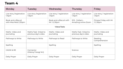| Monday                                      | Tuesday                                      | Wednesday                                       | Thursday                                        | Friday                              |
|---------------------------------------------|----------------------------------------------|-------------------------------------------------|-------------------------------------------------|-------------------------------------|
| Live story /registration<br>1.15pm          | Live story /registration<br>1.15pm           | Live story / registration<br>1.15 <sub>pm</sub> | Live story / registration<br>1.15 <sub>pm</sub> | Live story / registration<br>1.15pm |
| Book and a Biscuit<br>with Miss Reid 2.30pm |                                              | Book and a Biscuit with<br>Mr J 2.30pm          | $9:15 - 9:45$ am -<br>AmaSing online Zoom       | Fitness Friday with Mr<br>J 2.30pm  |
|                                             |                                              | Videos/Tasks                                    |                                                 |                                     |
| Maths Video and<br>journaling               | Maths Task linked to<br>previous day's video | Maths Video and<br>journaling                   | Maths Task linked to<br>previous day's video    | Maths Video and<br>journaling       |
| Pathways to Write                           | Pathways to Write                            | Pathways to Read                                | Pathways to Write                               | Reading<br>Comprehension            |
| Spelling                                    |                                              | Spelling                                        |                                                 | Spelling                            |
| CAOW & RE                                   | Connector<br>(History/ Geog/ Art)            |                                                 | Science                                         |                                     |
| Daily Prayer                                | Daily Prayer                                 | Daily Prayer                                    | Daily Prayer                                    | Daily Prayer                        |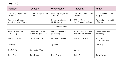| Monday                                      | Tuesday                                      | Wednesday                              | Thursday                                     | Friday                                         |  |  |
|---------------------------------------------|----------------------------------------------|----------------------------------------|----------------------------------------------|------------------------------------------------|--|--|
| Live story /registration<br>2.00pm          | Live story /registration<br>2.00pm           | Live story /registration<br>2.00pm     | Live story /registration<br>2.00pm           | Live story /registration<br>2.00 <sub>pm</sub> |  |  |
| Book and a Biscuit<br>with Miss Reid 2.30pm |                                              | Book and a Biscuit with<br>Mr J 2.30pm | $9:15 - 9:45$ am -<br>AmaSing online Zoom    | Fitness Friday with Mr<br>J 2.30pm             |  |  |
|                                             | Videos/Tasks                                 |                                        |                                              |                                                |  |  |
| Maths Video and<br>journaling               | Maths Task linked to<br>previous day's video | Maths Video and<br>journaling          | Maths Task linked to<br>previous day's video | Maths Video and<br>journaling                  |  |  |
| Pathways to Write                           | Pathways to Write                            | Pathways to Read                       | Pathways to Write                            | Reading<br>Comprehension                       |  |  |
| Spelling                                    |                                              | Spelling                               |                                              | Spelling                                       |  |  |
| CAOW/RE                                     | Connector / Art                              |                                        | Science                                      |                                                |  |  |
| Daily Prayer                                | Daily Prayer                                 | Daily Prayer                           | Daily Prayer                                 | Daily Prayer                                   |  |  |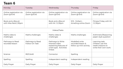| Monday                                      | Tuesday                                | Wednesday                                                                                         | Thursday                                                       | Friday                                                                            |
|---------------------------------------------|----------------------------------------|---------------------------------------------------------------------------------------------------|----------------------------------------------------------------|-----------------------------------------------------------------------------------|
| Online registration via<br>Zoom @ 8.45      | Online registration via<br>Zoom @ 8.45 | Online registration via<br>Zoom @ 8.45                                                            | Online registration via<br>Zoom @ 8.45                         | Online registration via<br>Zoom @ 8.45                                            |
| Book and a Biscuit<br>with Miss Reid 2.30pm |                                        | Book and a Biscuit<br>with Mr J 2.30pm                                                            | $9:15 - 9:45am -$<br>AmaSing online Zoom                       | Fitness Friday with Mr<br>J 2.30pm                                                |
|                                             |                                        | Videos/Tasks                                                                                      |                                                                |                                                                                   |
| Maths video &<br>challenges                 | Maths challenges                       | Maths video &<br>challenges                                                                       | Maths challenges                                               | Arithmetic/Reasoning<br>paper-style question                                      |
| Pathways to Read<br>recorded lesson         | Pathways to Read<br>Follow-On Task     | Pathways to Write<br>themed video<br>explaining features of<br>a text type. Activities<br>linked. | Modelled write<br>recorded lesson &<br>follow up mini activity | Learning task:<br>children use this<br>week's lessons to<br>write their own work. |
| Science                                     | RE/CAoW                                | Connector                                                                                         | Spelling                                                       |                                                                                   |
| Spelling                                    | Spelling                               | Independent reading                                                                               | Independent reading                                            |                                                                                   |
| Daily Prayer                                | Daily Prayer                           | Daily Prayer                                                                                      | Daily Prayer                                                   | Daily Prayer                                                                      |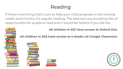# Reading

If there's one thing that's sure to help your child progress in the coming weeks and months, it's regular reading. The teachers are providing lots of opportunities for pupils to read and it would be helpful if you did too.

#### **All children in KS1 have access to Oxford Owl.**

**All children in KS2 have access to e-books via Google Classroom**.





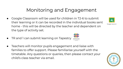# Monitoring and Engagement

- Google Classroom will be used for children in T2-6 to submit their learning or it can be recorded in the individual books sent home - this will be directed by the teacher and dependent on the type of activity set.
- TR and 1 can submit learning on Tapestry
- Teachers will monitor pupils engagement and liaise with families to offer support. Please familiarise yourself with the timetable. Any questions or queries, then please contact your child's class teacher via email.





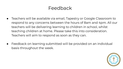### Feedback

- Teachers will be available via email, Tapestry or Google Classroom to respond to any concerns between the hours of 8am and 4pm. All our teachers will be delivering learning to children in school, whilst teaching children at home. Please take this into consideration. Teachers will aim to respond as soon as they can.
- Feedback on learning submitted will be provided on an individual basis throughout the week.